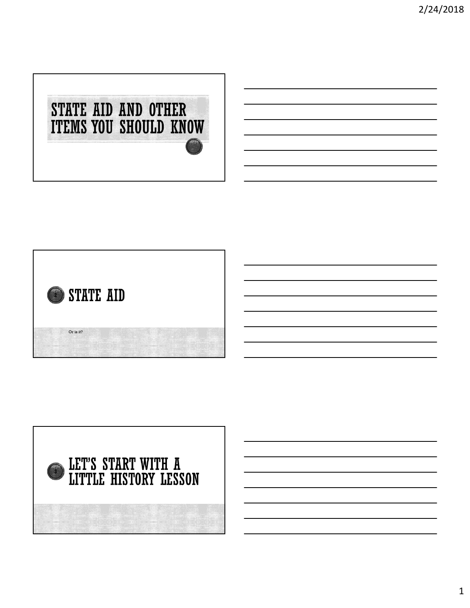



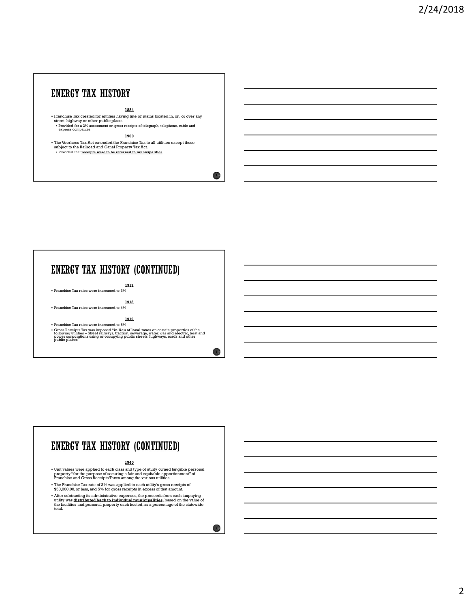### **ENERGY TAX HISTORY**

### **1884 1884**

Franchise Tax created for entities having line or mains located in, on, or over any street, highway or other public place.<br>
• Provided for a 2% assessment on gross receipts of telegraph, telephone, cable and express compan

1900

 The Voorhees Tax Act extended the Franchise Tax to all utilities except those subject to the Railroad and Canal Property Tax Act. Provided that receipts were to be returned to municipalities The Workes Tax Ad extends the Practice Tax to all unlikes except these<br>subjects to be followed and Canal Property Instant.<br>
<br>
The Control in the complex meric is a second of monotonymical control in the complex of the mono

1917 **1917 1918** Franchise Tax rates were increased to 3%

1918 Franchise Tax rates were increased to 4%

### 1919

• Franchise Tax rates were increased to 5%<br>• Gross Receipts Tax was imposed "in lieu of local taxes on certain properties of the<br>following utilities – Street railways, traction, sewerage, water, gas and electric, heat and<br>

### ENERGY TAX HISTORY (CONTINUED)

### 1940

- Unit values were applied to each class and type of utility owned tangible personal<br>property "for the purpose of securing a fair and equitable apportionment" of<br>Franchise and Gross Receipts Taxes among the various utiliti
- The Franchise Tax rate of 2% was applied to each utility's gross receipts of \$50,000.00, or less, and 5% for gross receipts in excess of that amount.
- After subtracting its administrative expenses, the proceeds from each taxpaying<br>utility was **distributed back to individual municipalities**, based on the value of<br>the facilities and personal property each hosted, as a pe

 $\overline{4}$ 

 $\sim$  5  $\mu$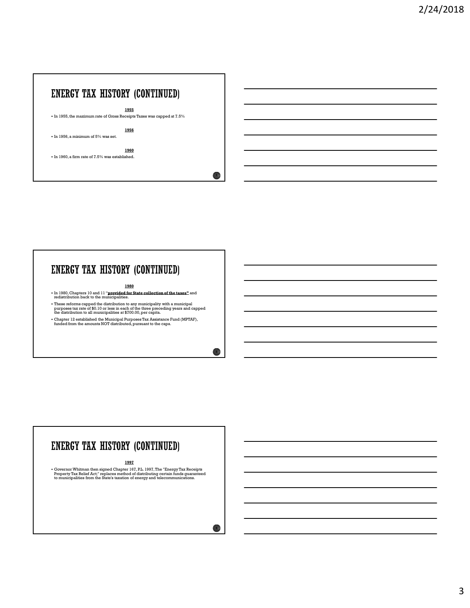### ENERGY TAX HISTORY (CONTINUED)

1955

 $\bullet$  In 1955, the maximum rate of Gross Receipts Taxes was capped at  $7.5\%$ 

1956

**7 1** 

8

 $\bigodot$ 

In 1956, a minimum of 5% was set.

1960 In 1960, a firm rate of 7.5% was established.

# ENERGY TAX HISTORY (CONTINUED)

### 1980

- In 1980, Chapters 10 and 11 "**provided for State collection of the taxes"** and redistribution back to the municipalities.<br>redistribution back to the municipalities.
- These reforms capped the distribution to any municipality with a municipal purposes tax rate of \$0.10 or less in each of the three preceding years and capped the distribution to all municipalities at \$700.00, per capita.
- Chapter 12 established the Municipal Purposes Tax Assistance Fund (MPTAF), funded from the amounts NOT distributed, pursuant to the caps.

# ENERGY TAX HISTORY (CONTINUED)

### 199*7* **1997 1998**

• Governor Whitman then signed Chapter 167, P.L. 1997, The "Energy Tax Receipts<br>• Property Tax Relief Act;" replaces method of distributing certain funds guaranteed<br>• to municipalities from the State's taxation of energy a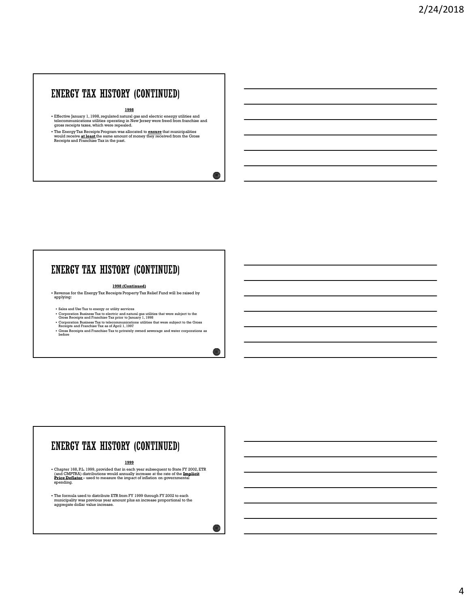### ENERGY TAX HISTORY (CONTINUED)

1998

Effective January 1, 1998, regulated natural gas and electric energy utilities and telecommunications utilities operating in New Jersey were freed from franchise and gross receipts taxes, which were repealed.

 $10<sub>0</sub>$ 

11

 $\left( \frac{1}{2} \right)$ 

• The Energy Tax Receipts Program was allocated to <u>ensure</u> that municipalities<br>would receive <u>at least t</u>he same amount of money they received from the Gross<br>Receipts and Franchise Tax in the past.

### ENERGY TAX HISTORY (CONTINUED)

### 1998 (Continued)

 Revenue for the Energy Tax Receipts Property Tax Relief Fund will be raised by applying:

- 
- Sales and Use Tax to energy or utility services<br>• Corporation Business Tax to electric and natural gas utilities that were subject to the Gross Receipts and Franchise Tax prior to January 1, 1998<br>• Gross Receipts and Fra
- Corporation Business Tax to telecommunications utilities that were subject to the Gross<br>Receipts and Franchise Tax as of April 1, 1997
- Gross Receipts and Franchise Tax to privately owned sewerage and water corporations as before

### 1999

 Chapter 168, P.L. 1999, provided that in each year subsequent to State FY 2002, ETR Revenue for the Europey Tax Revenue is Tropically increase at the rate of the rate of the rate of the rate of the rate of the rate of the rate of the rate of the rate of the rate of the rate of the rate of the rate of the spending.

The formula used to distribute ETR from FY 1999 through FY 2002 to each municipality was previous year amount plus an increase proportional to the aggregate dollar value increase.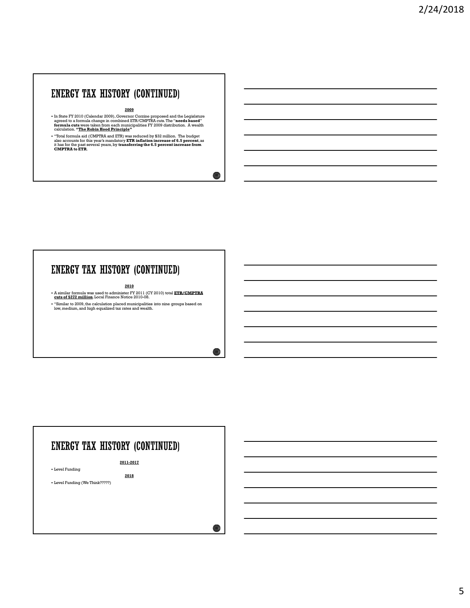## ENERGY TAX HISTORY (CONTINUED)

<u>2009</u> — Марк Александр († 1892)<br>1905 — Марк Александр († 1893)

In State FY 2010 (Calendar 2009), Governor Corzine proposed and the Legislature<br>agreed to a formula change in combined ETR/CMPTRA cuts. The "**needs based**"<br>formula cuts were taken from each municipalities FY 2009 distribut

"Total formula aid (CMPTRA and ETR) was reduced by \$32 million. The budget<br>also accounts for this year's mandatory **ETR inflation increase of 6.5 percent**, as<br>it has for the past several years, by **transferring the 6.5 per** 

# ENERGY TAX HISTORY (CONTINUED)

2010

A similar formula was used to administer FY 2011 (CY 2010) total ETR/CMPTRA cuts of \$272 million. Local Finance Notice 2010-08.

"Similar to 2009, the calculation placed municipalities into nine groups based on low, medium, and high equalized tax rates and wealth.

# ENERGY TAX HISTORY (CONTINUED)

2011-2017

Level Funding

Level Funding (We Think?????)

 $\bigcirc$ 

2018 **2018** 

 $13<sup>3</sup>$ 

14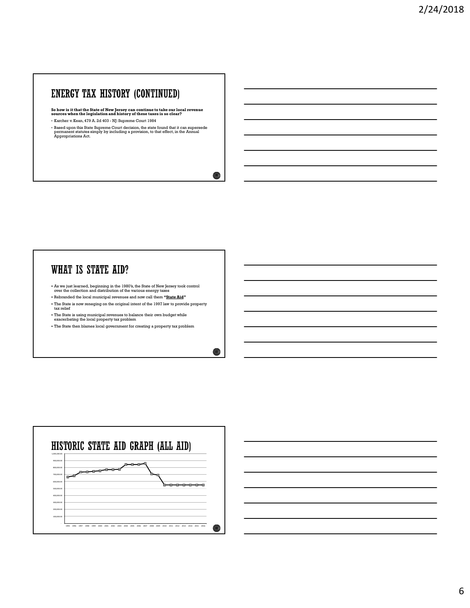So how is it that the State of New Jersey can continue to take our local revenue sources when the legislation and history of these taxes is so clear?

**ENERGY TAX HISTORY (CONTINUED)**<br>  $\bullet$  how is it that the State of New Persey can continue to take our local revenues<br>
sources when the registration and his state  $\frac{1}{2}$  and  $\frac{1}{2}$  and  $\frac{1}{2}$  and  $\frac{1}{2}$  and  $\$ • Based upon this State Supreme Court decision, the state found that it can supersede permanent statutes simply by including a provision, to that effect, in the Annual Appropriations Act.

 $16<sub>1</sub>$ 

 $177$ 

### WHAT IS STATE AID?

As we just learned, beginning in the 1980's, the State of New Jersey took control over the collection and distribution of the various energy taxes

- Rebranded the local municipal revenues and now call them "State Aid"

The State is now reneging on the original intent of the 1997 law to provide property tax relief

The State is using municipal revenues to balance their own budget while exacerbating the local property tax problem

The State then blames local government for creating a property tax problem

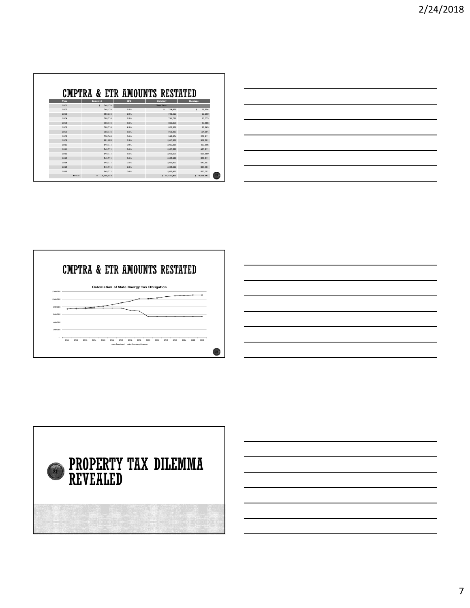|             | CMPTRA & ETR AMOUNTS RESTATED |             |              |               |
|-------------|-------------------------------|-------------|--------------|---------------|
| Shortage    | Statutory                     | <b>IPD</b>  | Received     | Year          |
|             | <b>Base Year</b>              |             | 746,174<br>s | 2001          |
| 18,654<br>s | s<br>764,828                  | 2.5%        | 746.174      | 2002          |
| 22,160      | 772,477                       | 1.0%        | 750,316      | 2003          |
| 23,073      | 791.789                       | $2.5\%$     | 768,716      | 2004          |
| 50,785      | 819,501                       | $2.5\%$     | 768,716      | 2005          |
| 87,663      | 856,379                       | 4.5%        | 768,716      | 2006          |
| 134,764     | 903,480                       | 5.5%        | 768,716      | 2007          |
| 239,911     | 948,654                       | 5.0%        | 708,743      | 2008          |
| 319,291     | 1,010,316                     | <b>6.5%</b> | 691.025      | 2009          |
| 460,605     | 1,010,316                     | $0.0\%$     | 549,711      | 2010          |
| 480,811     | 1,030.522                     | $2.0\%$     | 549.711      | 2011          |
| 516,880     | 1,066,591                     | 3.5%        | 549,711      | 2012          |
| 538.211     | 1,087.922                     | 2.0%        | 549.711      | 2013          |
| 543,651     | 1,087,922                     | 0.5%        | 549,711      | 2014          |
| 560,051     | 1,087.922                     | 1.5%        | 549.711      | 2015          |
| 560.051     | 1,087.922                     | 0.0%        | 549,711      | 2016          |
| \$4.556,561 | \$15,121,835                  |             | \$10,565,273 | <b>Totals</b> |





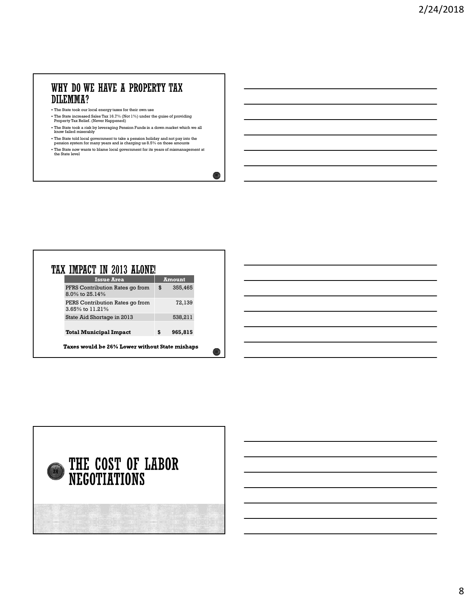# DILEMMA?

- The State took our local energy taxes for their own use
- The State increased Sales Tax 16.7% (Not 1%) under the guise of providing Property Tax Relief. (Never Happened)
- The State took a risk by leveraging Pension Funds in a down market which we all know failed miserably
- The State told local government to take a pension holiday and not pay into the pension system for many years and is charging us 8.5% on those amounts
- The State now wants to blame local government for its years of mismanagement at the State level

| . The State took our local energy taxes for their own use                                                                                                  |               |        |  |  |  |
|------------------------------------------------------------------------------------------------------------------------------------------------------------|---------------|--------|--|--|--|
| • The State increased Sales Tax 16.7% (Not 1%) under the guise of providing<br>Property Tax Relief. (Never Happened)                                       |               |        |  |  |  |
| . The State took a risk by leveraging Pension Funds in a down market which we all<br>know failed miserably                                                 |               |        |  |  |  |
| . The State told local government to take a pension holiday and not pay into the<br>pension system for many years and is charging us 8.5% on those amounts |               |        |  |  |  |
| . The State now wants to blame local government for its years of mismanagement at<br>the State level                                                       |               |        |  |  |  |
|                                                                                                                                                            |               |        |  |  |  |
|                                                                                                                                                            |               |        |  |  |  |
|                                                                                                                                                            |               |        |  |  |  |
|                                                                                                                                                            |               |        |  |  |  |
|                                                                                                                                                            |               |        |  |  |  |
|                                                                                                                                                            |               |        |  |  |  |
|                                                                                                                                                            |               |        |  |  |  |
|                                                                                                                                                            |               |        |  |  |  |
|                                                                                                                                                            |               |        |  |  |  |
|                                                                                                                                                            |               |        |  |  |  |
|                                                                                                                                                            |               |        |  |  |  |
|                                                                                                                                                            |               |        |  |  |  |
|                                                                                                                                                            |               |        |  |  |  |
|                                                                                                                                                            |               |        |  |  |  |
|                                                                                                                                                            |               |        |  |  |  |
|                                                                                                                                                            |               |        |  |  |  |
|                                                                                                                                                            |               |        |  |  |  |
|                                                                                                                                                            |               |        |  |  |  |
|                                                                                                                                                            |               |        |  |  |  |
| <b>Issue Area</b>                                                                                                                                          | <b>Amount</b> |        |  |  |  |
|                                                                                                                                                            |               |        |  |  |  |
| PFRS Contribution Rates go from                                                                                                                            | \$<br>355,465 |        |  |  |  |
| 8.0% to 25.14%                                                                                                                                             |               |        |  |  |  |
| PERS Contribution Rates go from                                                                                                                            |               | 72,139 |  |  |  |
| 3.65% to 11.21%                                                                                                                                            |               |        |  |  |  |
| TAX IMPACT IN 2013 ALONE!<br>State Aid Shortage in 2013                                                                                                    | 538,211       |        |  |  |  |
|                                                                                                                                                            |               |        |  |  |  |
|                                                                                                                                                            |               |        |  |  |  |
| <b>Total Municipal Impact</b>                                                                                                                              | 965,815<br>\$ |        |  |  |  |
|                                                                                                                                                            |               |        |  |  |  |
| Taxes would be 26% Lower without State mishaps                                                                                                             |               |        |  |  |  |

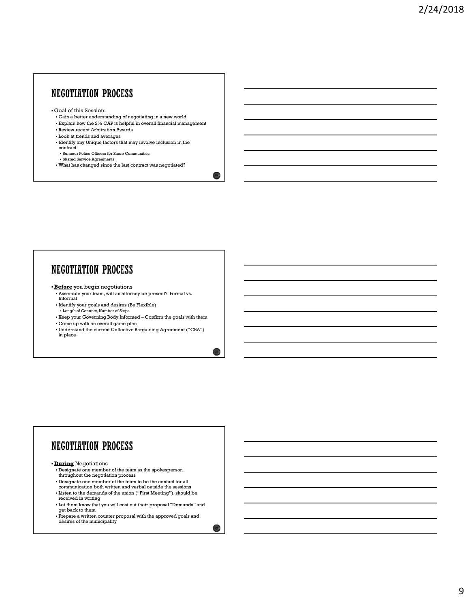### NEGOTIATION PROCESS

- Goal of this Session:
- Gain a better understanding of negotiating in a new world
- Explain how the 2% CAP is helpful in overall financial management

 $25\%$ 

 $26\%$ 

- Review recent Arbitration Awards Look at trends and averages
- Identify any Unique factors that may involve inclusion in the contract
- Summer Police Officers for Shore Communities
- Shared Service Agreements
- What has changed since the last contract was negotiated?

- **Before** you begin negotiations
- Assemble your team, will an attorney be present? Formal vs. Informal
- Identify your goals and desires (Be Flexible)
- Length of Contract, Number of Steps
- 
- Come up with an overall game plan
- Confirm a point of the material and one of the goals and the goals with the body with the confirmed and the goals with the confirmed and the goals of the confirmed and the goals of the confirmed and the goals of the goals Understand the current Collective Bargaining Agreement ("CBA") in place

## **NEGOTIATION PROCESS**

- **During Negotiations**
- Designate one member of the team as the spokesperson throughout the negotiation process
- Designate one member of the team to be the contact for all communication both written and verbal outside the sessions
- Listen to the demands of the union ("First Meeting"), should be
- received in writing
- Let them know that you will cost out their proposal "Demands" and get back to them
- Prepare a written counter proposal with the approved goals and desires of the municipality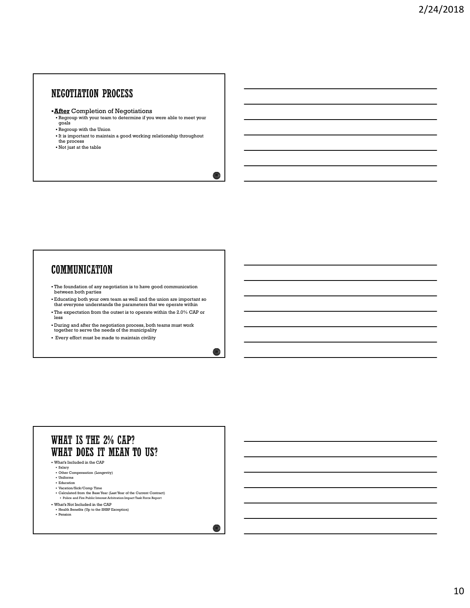## **NEGOTIATION PROCESS**

- **After Completion of Negotiations** 
	- Regroup with your team to determine if you were able to meet your goals
- Regroup with the Union
- It is important to maintain a good working relationship throughout the process
- Not just at the table

### **COMMUNICATION**

- The foundation of any negotiation is to have good communication between both parties
- Educating both your own team as well and the union are important so that everyone understands the parameters that we operate within
- The expectation from the outset is to operate within the 2.0% CAP or less
- During and after the negotiation process, both teams must work together to serve the needs of the municipality
- Every effort must be made to maintain civility

### WHAT IS THE 2% CAP? WHAT DOES IT MEAN TO US?

- What's Included in the CAP
	- Salary<br>• Other Compensation (Longevity)
- Uniforms
- Education Vacation/Sick/Comp Time
- Calculated from the Base Year (Last Year of the Current Contract) Police and Fire Public Interest Arbitration Impact Task Force Report
- What's Not Included in the CAP
- Health Benefits (Up to the SHBP Exception)<br>• Pension
- **Pension**

 $28<sub>0</sub>$ 

29  $\mu$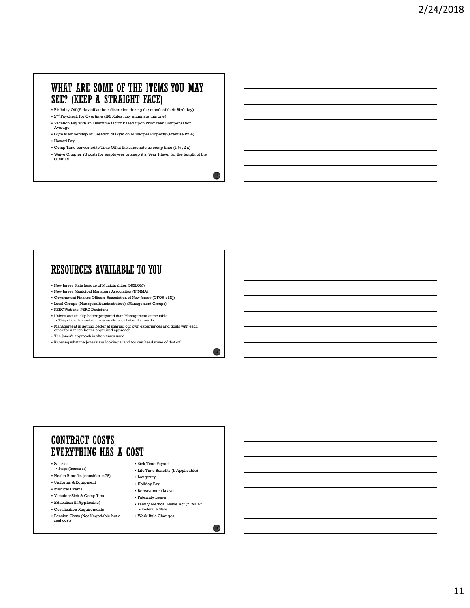### WHAT ARE SOME OF THE ITEMS YOU MAY SEE? (KEEP A STRAIGHT FACE)

- Birthday Off (A day off at their discretion during the month of their Birthday)
- 2nd Paycheck for Overtime (IRS Rules may eliminate this one)
- Vacation Pay with an Overtime factor based upon Prior Year Compensation Average
- Gym Membership or Creation of Gym on Municipal Property (Premise Rule) Hazard Pay
- Comp Time converted to Time Off at the same rate as comp time (1  $\frac{1}{2}$  , 2 x)
- Waive Chapter 78 costs for employees or keep it at Year 1 level for the length of the contract

### RESOURCES AVAILABLE TO YOU

- New Jersey State League of Municipalities (NJSLOM)
- New Jersey Municipal Managers Association (NJMMA)
- Government Finance Officers Association of New Jersey (GFOA of NJ) Local Groups (Managers/Administrators) (Management Groups)
- PERC Website, PERC Decisions
- Unions are usually better prepared than Management at the table They share data and compare results much better than we do
- 
- Management is getting better at sharing our own experiences and goals with each other for a much better organized approach
- The Jones's approach is often times used
- Knowing what the Jones's are looking at and for can head some of that off

### **CONTRACT COSTS.** EVERYTHING HAS A COST

- 
- Health Benefits (consider c.78) Flongevity
- Uniforms & Equipment
- 
- Vacation/Sick & Comp Time
- 
- Certification Requirements
- Pension Costs (Not Negotiable but a Salaries<br>
• Sick Time Payout<br>
• Life Time Benefits (If Applicable)<br>
Health Benefits (consider c.78)<br>
Uniforms & Equipment<br>
• Holiday Pay<br>
Medical Exams<br>
• Paternity Leave<br>
• Paternity Leave<br>
Education (If Applicable)<br>
• Pa
- Salaries Side Time Payout<br>Steps (Increases) 5. 1 if Time Payout - Life Time Benefits (If Applicable)
	-
	-
	- Holiday Pay
- Medical Exams **Bereavement Leave** 
	- Paternity Leave
- Education (If Applicable) Family Medical Leave Act ("FMLA") Federal & State
	- Work Rule Changes

 $\circ$ 

 $31\%$ 

 $32<sup>1</sup>$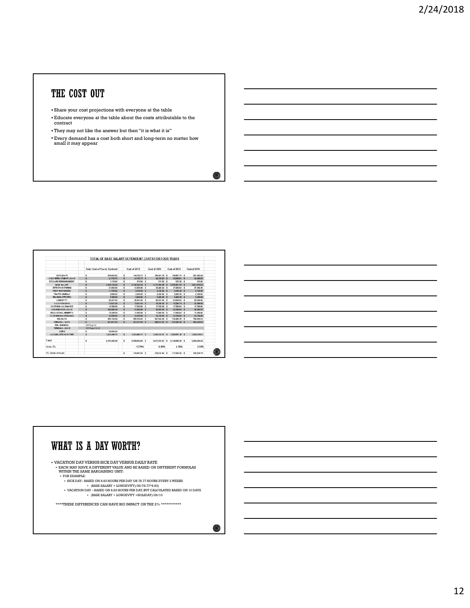# THE COST OUT

- Share your cost projections with everyone at the table
- Educate everyone at the table about the costs attributable to the contract
- They may not like the answer but then "it is what it is"
- Every demand has a cost both short and long-term no matter how small it may appear

|                              |                 | TOTAL OF BASE SALARY DEPENDENT COSTS FOR FOUR YEARS |    |                  |                 |                                 |                  |  |
|------------------------------|-----------------|-----------------------------------------------------|----|------------------|-----------------|---------------------------------|------------------|--|
|                              |                 | <b>Total Cost of Yearly Contract</b>                |    | Cost of 2013     | Cost of 2014    | Cost of 2015                    | Cost of 2016     |  |
| SICK LEAVE:                  | s.              | 208,003.00                                          | s  | 194,752.75 \$    | 196,651.78 \$   | 198, 887. 79 \$                 | 201.063.48       |  |
| 1 DAY REREAVEMENT LEAVE:     | š               | 4173273                                             | ś  | 4173273 \$       | 42 135 67 \$    | 4251881 \$                      | 43,085.03        |  |
| EYE CARE REIMBURSEMENT:      | s               | 1.170.00                                            | s  | 975.00 \$        | 975.00 \$       | 975.00 \$                       | 975.00           |  |
| <b>BASE SALARY:</b>          | š.              | 3 146 143 54                                        | š  | 3.146.143.54 \$  | 3.177,604.58 \$ | 3209381.03 \$                   | 324147484        |  |
| <b>DETECTIVE STIPEND:</b>    | s               | 21,855.00                                           | s  | 21,855.00 \$     | 25,460,24 \$    | 27,229.02 \$                    | 27.284.35        |  |
| <b>FIRST RESPONDERS:</b>     | ś               | 11,700.00                                           | ś  | $5.750.00$ \$    | 9.750.00 5      | $9.750.00 $ \$                  | 9,750.00         |  |
| TRAFFIC BUFFALL              | s.              | 3,000.00                                            | 1  | 2,250.00 \$      | 2,250.00 \$     | 2,250.00 \$                     | 2,250.00         |  |
| TRAINING OFFICERS:           | s               | 7,200.00                                            | š  | 5,400.00 \$      | 5,400.00 \$     | 5,400.00 \$                     | 5,400.00         |  |
| LONGEVITY:                   | t               | 80.337.00                                           | s  | 80.337.00 \$     | 80.337.00 \$    | 85,005.00 \$                    | 89,556.00        |  |
| VACATION DAYS:               | š               | 7364164                                             | ٠  | 7354154 \$       | 74 358 16 \$    | 75,250.75 \$                    | 74, 089.99       |  |
| CLOTHING ALLOWS NCP:         | 1               | 13,500.00                                           | ٠  | 17,550.00 \$     | 17,550.00 \$    | 17,550.00 \$                    | 17,550.00        |  |
| ACCRUED SICK LEAVE:          | š.              | 145 483 18                                          | s  | 51,642.00 \$     | 92.505.36 \$    | 94,185,04 \$                    | <b>95 065 76</b> |  |
| FOUCATIONAL PEMERTS:         | ś               | 19,250.00                                           | ٠  | 17,000.00 \$     | 17,000.00 \$    | 17,000.00 \$                    | 17,000.00        |  |
| CLOTHING MAINTENANCE:        | š               | 37,050.00                                           | s  | 33 150.00 \$     | 33 150 00 \$    | 33.150.00 \$                    | 33.150.00        |  |
| <b>HOLIDAYS:</b>             | s               | <b>680.164.64</b>                                   | s  | GBO.164.64 \$    | 627.844.28 \$   | 732,485.00 \$                   | 784.805.35       |  |
| PERSONAL DAYS:               | š.              | 261,017.03                                          | š. | 261.017.03 \$    | 208 813 62 \$   | 313 220 43 \$                   | 365 423 84       |  |
| PBA BUSINESS:                | SEE Page 52     |                                                     |    |                  |                 |                                 |                  |  |
| TERMINAL LEAVE               | SEE Pages 53-55 |                                                     |    |                  |                 |                                 |                  |  |
| STEPS                        | \$              | 35,835.00                                           |    |                  |                 |                                 |                  |  |
| <b>ACCUMULATED SICK TIME</b> | š.              | 1,253,480.72                                        | s  | 1,253,480.72 \$  |                 | 1265742.97 \$ 1280.897.18 \$    | 1,296,110,61     |  |
| Total                        | s               | 6.793.382.38                                        | s. | 5 930 84 2 05 \$ |                 | 5.877.533.07 \$ 6.145.835.09 \$ | 6.306.034.25     |  |
| Under 2%                     |                 |                                                     |    | $-12.70%$        | $-0.90%$        | 4.56%                           | 2.61%            |  |
| 2% Dollar Amount             |                 |                                                     | s  | 135.867.65 \$    | 118,616.84 \$   | 117,550.GC \$                   | 122,916.70       |  |



 $34<sup>o</sup>$ 

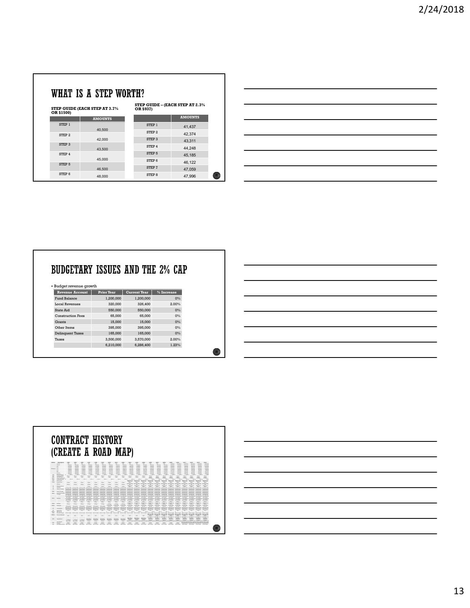| STEP GUIDE - (EACH STEP AT 2.3%<br>OR \$937)<br><b>AMOUNTS</b><br><b>AMOUNTS</b><br>${\tt STEP}$ 1<br>41,437<br>40,500<br>${\tt STEP}$ 2<br>42,374<br>STEP 3<br>42,000<br>43,311<br>STEP 4<br>44,248<br>43,500<br>STEP 5<br>45,185<br>45,000<br>STEP 6<br>46,122<br>${\tt STEP}$ ${\tt 7}$<br>46,500<br>47,059<br>STEP 8<br>37 <sub>1</sub><br>48,000<br>47,996 |                                          | VHAT IS A STEP WORTH?<br><b>EP GUIDE (EACH STEP AT 3.7%)</b><br>R \$1500)<br>STEP 1<br>STEP 2<br>STEP 3<br>STEP 4<br>STEP 5<br>STEP 6 |  |  |  |
|-----------------------------------------------------------------------------------------------------------------------------------------------------------------------------------------------------------------------------------------------------------------------------------------------------------------------------------------------------------------|------------------------------------------|---------------------------------------------------------------------------------------------------------------------------------------|--|--|--|
|                                                                                                                                                                                                                                                                                                                                                                 |                                          |                                                                                                                                       |  |  |  |
|                                                                                                                                                                                                                                                                                                                                                                 |                                          |                                                                                                                                       |  |  |  |
|                                                                                                                                                                                                                                                                                                                                                                 |                                          |                                                                                                                                       |  |  |  |
|                                                                                                                                                                                                                                                                                                                                                                 |                                          |                                                                                                                                       |  |  |  |
|                                                                                                                                                                                                                                                                                                                                                                 |                                          |                                                                                                                                       |  |  |  |
|                                                                                                                                                                                                                                                                                                                                                                 |                                          |                                                                                                                                       |  |  |  |
|                                                                                                                                                                                                                                                                                                                                                                 |                                          |                                                                                                                                       |  |  |  |
|                                                                                                                                                                                                                                                                                                                                                                 |                                          |                                                                                                                                       |  |  |  |
|                                                                                                                                                                                                                                                                                                                                                                 |                                          |                                                                                                                                       |  |  |  |
|                                                                                                                                                                                                                                                                                                                                                                 |                                          |                                                                                                                                       |  |  |  |
|                                                                                                                                                                                                                                                                                                                                                                 |                                          |                                                                                                                                       |  |  |  |
|                                                                                                                                                                                                                                                                                                                                                                 |                                          |                                                                                                                                       |  |  |  |
|                                                                                                                                                                                                                                                                                                                                                                 |                                          |                                                                                                                                       |  |  |  |
|                                                                                                                                                                                                                                                                                                                                                                 |                                          |                                                                                                                                       |  |  |  |
|                                                                                                                                                                                                                                                                                                                                                                 |                                          |                                                                                                                                       |  |  |  |
|                                                                                                                                                                                                                                                                                                                                                                 |                                          |                                                                                                                                       |  |  |  |
|                                                                                                                                                                                                                                                                                                                                                                 |                                          |                                                                                                                                       |  |  |  |
|                                                                                                                                                                                                                                                                                                                                                                 |                                          |                                                                                                                                       |  |  |  |
|                                                                                                                                                                                                                                                                                                                                                                 |                                          |                                                                                                                                       |  |  |  |
|                                                                                                                                                                                                                                                                                                                                                                 |                                          |                                                                                                                                       |  |  |  |
|                                                                                                                                                                                                                                                                                                                                                                 |                                          |                                                                                                                                       |  |  |  |
|                                                                                                                                                                                                                                                                                                                                                                 |                                          |                                                                                                                                       |  |  |  |
|                                                                                                                                                                                                                                                                                                                                                                 | UDGETARY ISSUES AND THE 2% CAP           |                                                                                                                                       |  |  |  |
| <b>Prior Year</b><br>$%$ Increase<br>Current Year                                                                                                                                                                                                                                                                                                               | Budget revenue growth<br>Revenue Account |                                                                                                                                       |  |  |  |
| 1,200,000<br>$0\%$<br>1,200,000                                                                                                                                                                                                                                                                                                                                 |                                          |                                                                                                                                       |  |  |  |
| 2.00%<br><b>Local Revenues</b><br>320,000<br>326,400                                                                                                                                                                                                                                                                                                            |                                          |                                                                                                                                       |  |  |  |
| 550,000<br>550,000<br>$0\%$<br><b>Construction Fees</b>                                                                                                                                                                                                                                                                                                         |                                          |                                                                                                                                       |  |  |  |
| 65,000<br>65,000<br>$0\%$<br>$0\%$                                                                                                                                                                                                                                                                                                                              |                                          |                                                                                                                                       |  |  |  |
| 15,000<br>15,000<br>395,000<br>395,000<br>$0\%$                                                                                                                                                                                                                                                                                                                 |                                          |                                                                                                                                       |  |  |  |
| <b>Delinquent Taxes</b><br>165,000<br>165,000<br>$0\%$<br>$2.00\%$<br>3,500,000<br>3,570,000                                                                                                                                                                                                                                                                    |                                          |                                                                                                                                       |  |  |  |

|                                                                                                                                                                                           | 40,500                                                                                                                                                             | STEP 2                                                                                                                              | 41,437                                                                        |            |
|-------------------------------------------------------------------------------------------------------------------------------------------------------------------------------------------|--------------------------------------------------------------------------------------------------------------------------------------------------------------------|-------------------------------------------------------------------------------------------------------------------------------------|-------------------------------------------------------------------------------|------------|
| STEP 2                                                                                                                                                                                    | 42,000                                                                                                                                                             | STEP 3                                                                                                                              | 42,374                                                                        |            |
| STEP 3                                                                                                                                                                                    |                                                                                                                                                                    | STEP 4                                                                                                                              | 43,311                                                                        |            |
| STEP 4                                                                                                                                                                                    | 43,500                                                                                                                                                             | STEP 5                                                                                                                              | 44,248<br>45,185                                                              |            |
|                                                                                                                                                                                           | 45,000                                                                                                                                                             | STEP 6                                                                                                                              | 46,122                                                                        |            |
| STEP 5                                                                                                                                                                                    | 46,500                                                                                                                                                             | STEP 7                                                                                                                              | 47,059                                                                        |            |
| STEP 6                                                                                                                                                                                    | 48,000                                                                                                                                                             | STEP 8                                                                                                                              | 47,996                                                                        |            |
|                                                                                                                                                                                           |                                                                                                                                                                    |                                                                                                                                     |                                                                               |            |
| - Budget revenue growth<br>Revenue Account<br>Fund Balance<br><b>Local Revenues</b><br>State Aid<br><b>Construction Fees</b><br>Grants<br>Other Items<br><b>Delinquent Taxes</b><br>Taxes | <b>BUDGETARY ISSUES AND THE 2% CAP</b><br><b>Prior Year</b><br>1,200,000<br>320,000<br>550,000<br>65,000<br>15,000<br>395,000<br>165,000<br>3,500,000<br>6,210,000 | $%$ Increase<br>Current Year<br>1,200,000<br>326,400<br>550,000<br>65,000<br>15,000<br>395,000<br>165,000<br>3,570,000<br>6,286,400 | $0\%$<br>2.00%<br>$0\%$<br>$0\%$<br>$0\%$<br>$0\%$<br>$0\%$<br>2.00%<br>1.23% |            |
|                                                                                                                                                                                           | <b>CONTRACT HISTORY</b><br>(CREATE A ROAD MAP)                                                                                                                     |                                                                                                                                     |                                                                               |            |
|                                                                                                                                                                                           |                                                                                                                                                                    |                                                                                                                                     |                                                                               |            |
|                                                                                                                                                                                           |                                                                                                                                                                    |                                                                                                                                     |                                                                               |            |
|                                                                                                                                                                                           |                                                                                                                                                                    |                                                                                                                                     |                                                                               |            |
|                                                                                                                                                                                           |                                                                                                                                                                    |                                                                                                                                     |                                                                               |            |
|                                                                                                                                                                                           |                                                                                                                                                                    |                                                                                                                                     |                                                                               |            |
|                                                                                                                                                                                           |                                                                                                                                                                    |                                                                                                                                     |                                                                               |            |
|                                                                                                                                                                                           |                                                                                                                                                                    |                                                                                                                                     |                                                                               |            |
|                                                                                                                                                                                           |                                                                                                                                                                    |                                                                                                                                     |                                                                               |            |
|                                                                                                                                                                                           |                                                                                                                                                                    |                                                                                                                                     |                                                                               | $\bigcirc$ |
|                                                                                                                                                                                           |                                                                                                                                                                    |                                                                                                                                     |                                                                               |            |
|                                                                                                                                                                                           |                                                                                                                                                                    |                                                                                                                                     |                                                                               |            |

# 0-5 yrs SDI Only 0-5 yrs SDI Only 0-5 yrs SDI Only 0-5 yrs SDI Only 0-5 yrs SDI Only 0-5 yrs SDI Only 0-5 yrs SDI Only 0-5 yrs SDI Only 0-5 yrs SDI Only 0-5 yrs SDI Only 0-5 yrs SDI Only 0-5 yrs SDI Only 0-5 yrs SDI Only 0-5 yrs SDI Only 0-5 yrs SDI Only 0-5 yrs SDI Only 0-5 yrs SDI Only 0-5 yrs SDI Only 0-5 yrs SDI Only 0-5 yrs SDI Only 0-5 yrs SDI Only народно каралы каралыктуулук народно каралыктуу каралыктуу каралыктуу каралыктуу каралыктуу каралыктуу каралыктуу каралыктуу каралыктуу каралыктуу каралыктуу каралыктуу каралыктуу каралыктуу каралыктуу каралыктуу каралыкт 10-15 yrs SDI plus 30% Salary 10-15 yrs SDI plus 30% Salary 10-15 yrs SDI plus 30% Salary 10-15 yrs SDI plus 30% Salary 10-15 yrs SDI plus 30% Salary 10-15 yrs SDI plus 30% Salary 10-15 yrs SDI plus 30% Salary 10-15 yrs SDI plus 30% Salary 10-15 yrs SDI plus 30% Salary 10-15 yrs SDI plus 30% Salary 10-15 yrs SDI plus 30% Salary 10-15 yrs SDI plus 30% Salary 10-15 yrs SDI plus 30% Salary 10-15 yrs SDI plus 30% Salary 10-15 yrs SDI plus 30% Salary 10-15 yrs SDI plus 30% Salary 10-15 yrs SDI plus 30% Salary 10-15 yrs SDI plus 30% Salary 10-15 yrs SDI plus 30% Salary 15+ yrs 100 % Salary 15+ yrs 100 % Salary 15+ yrs 100 % Salary 15+ yrs 100 % Salary 15+ yrs 100 % Salary 15+ yrs 100 % Salary 15+ yrs 100 % Salary 15+ yrs 100 % Salary 15+ yrs 100 % Salary 15+ yrs 100 % Salary 15+ yrs 100 % Salary 15+ yrs 100 % Salary 15+ yrs 100 % Salary 15+ yrs 100 % Salary 15+ yrs 100 % Salary 15+ yrs 100 % Salary 15+ yrs 100 % Salary 15+ yrs 100 % Salary 15+ yrs 100 % Salary 50 Days, Max \$10,000 50 Days, Max \$10,000 50 Days, Max \$10,000 50 Days, Max \$10,000 50 Days, Max \$10,000 50 Days, Max \$10,000 50 Days, Max \$10,000 50 Days, Max \$10,000 50 Days, Max \$10,000 50 Days, Max \$10,000 50 Days, Max \$10,000 50 Days, Max \$10,000 50 Days, Max \$10,000 15+ yrs 100 % Salary XIII(A) Sick Days 15 Days 15 Days 15 Days 15 Days 15 Days 15 Days 15 Days 15 Days 15 Days 15 Days or 120 Hours 15 Days or 120 Hours 15 Days or 120 Hours 15 Days or 120 Hours 15 Days or 120 Hours 15 Days or 120 Hours 15 Days or 120 Hours 15 Days or 120 Hours 15 Days or 120 Hours 15 Days or 120 Hours 15 Days or 120 Hours 15 Days or 120 Hours XIII(D) Sick Payout 50 Days Max 50 Days Max 50 Days Max 50 Days Max 50 Days Max 50 Days Max 50 Days, Max \$10,000 XV Vacation Days 10 Days up to 25 Days based on Service years 10 Days up to 25 Days based on Service years 10 Days up to 25 Days based on Service years 10 Days up to 25 Days based on Service years 10 Days up to 25 Days based on Service years 10 Days up to 25 Days based on Service years 10 Days up to 25 Days based on Service years 10 Days up to 25 Days based on Service years 10 Days up to 25 Days based on Service years 10 Days up to 25 Days based on Service years 10 Days up to 25 Days based on Service years 10 Days up to 25 Days based on Service years 10 Days up to 25 Days based on Service years 10 Days up to 25 Days based on Service years 10 Days up to 25 Days based on Service years 10 Days up to 25 Days based on Service years 10 Days up to 25 Days based on Service years 10 Days up to 25 Days based on Service years 10 Days up to 25 Days based on Service years 10 Days up to 25 Days based on Service years 10 Days up to 25 Days based on Service years XX Agency Shop 85% 85% 85% 85% 85% 85% 85% 85% 85% 85% 85% 85% 85% 85% 85% 85% 85% 85% 85% 85% 85% XXII(C) EMT Stipend \$ 1,500 \$ 1,500 \$ 1,500 \$ 1,500 \$ 1,500 \$ 1,500 \$ 1,500 \$ 1,500 \$ 1,500 \$ - \$ - \$ - \$ - \$ - \$ - XXIII Education/ Degree \$14.00 / Credit \$14.00 / Credit \$14.00 / Credit \$14.00 / Credit \$14.00 / Credit \$14.00 / Credit \$14.00 / Credit \$14.00 / Credit \$14.00 / Credit \$14.00 / Credit \$14.00 / Credit \$14.00 / Credit \$14.00 / Credit \$14.00 / Credit \$14.00 / Credit \$14.00 / Credit \$14.00 / Credit \$14.00 / Credit \$14.00 / Credit \$14.00 / Credit \$14.00 / Credit XXIII(D) Education Expenses 100% 100% 100% 100% 100% 100% 100% 100% 100% 100% 100% 100% 100% up to Max Budget Est. by Chief 100% up to Max Budget Est. by Chief 100% up to Max Budget Est. by Chief 100% up to Max Budget Est. by Chief 100% up to Max Budget Est. by Chief 100% up to Max Budget Est. by Chief 100% up to Max Budget Est. by Chief 100% up to Max Budget Est. by Chief 100% up to Max Budget Est. by Chief XXIV Outside Detail 1 1/2 Times Hourly Rate XXV Grant Funded Programs XXXXX XXXXX XXXXX XXXXX XXXXX XXXXX XXXXX XXXXX XXXXX XXXXX XXXXX XXXXX XXXXX XXXXX XXXXX XXXXX XXXXX CONTRACT HISTORY<br>
CONTRACT HISTORY<br>
CREATE A ROAD MAP)<br>
CREATE A ROAD MAP)<br>
CREATE A ROAD MAP)<br>
CREATE A ROAD MAP)<br>
CREATE A ROAD MAP)<br>
CREATE A ROAD MAP)<br>
CREATE A ROAD MAP)<br>
CREATE A ROAD MAP)<br>
CREATE A ROAD MAP)<br>
CREATE